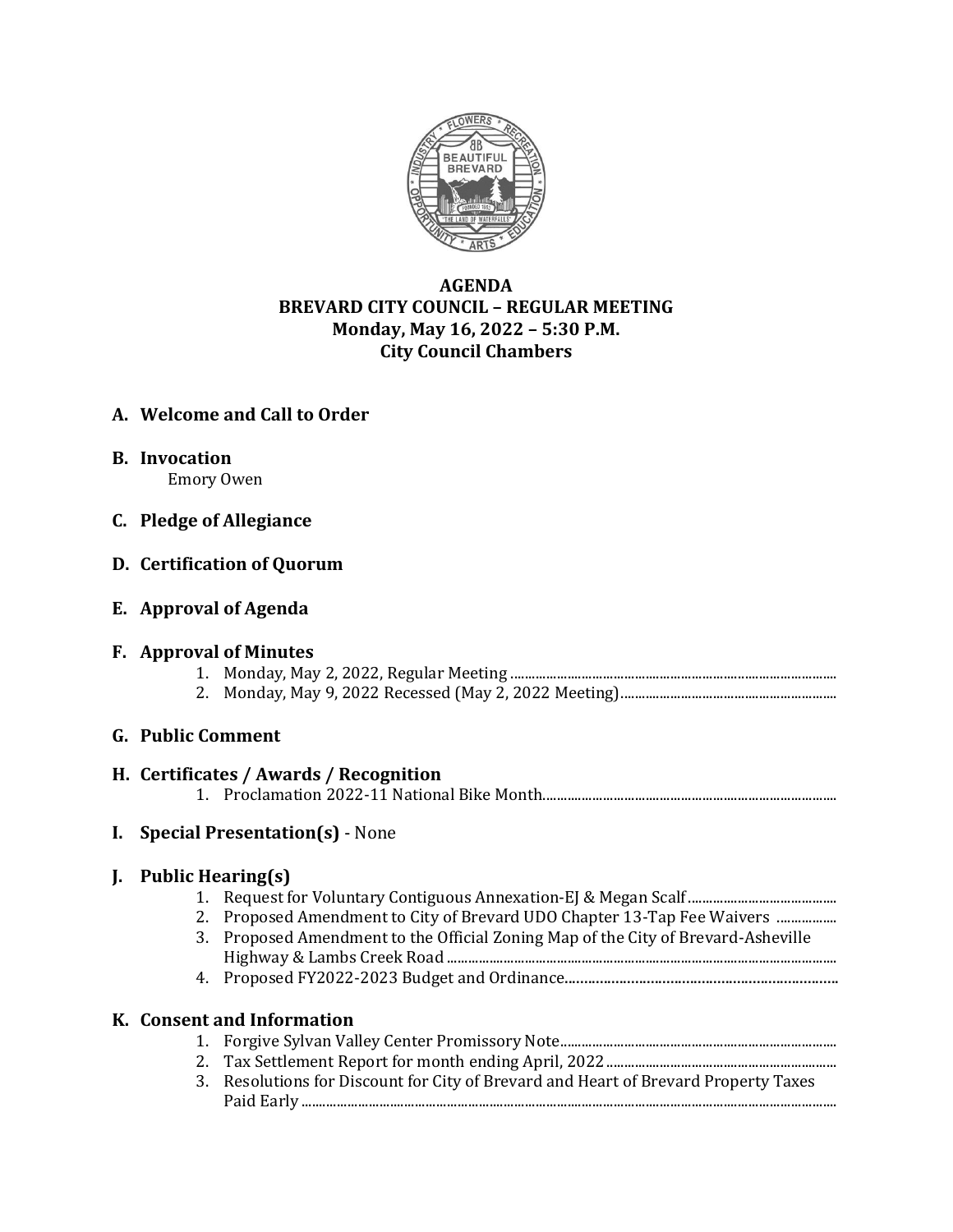

# **AGENDA BREVARD CITY COUNCIL – REGULAR MEETING Monday, May 16, 2022 – 5:30 P.M. City Council Chambers**

# **A. Welcome and Call to Order**

**B. Invocation**

Emory Owen

**C. Pledge of Allegiance**

## **D. Certification of Quorum**

**E. Approval of Agenda**

## **F. Approval of Minutes**

- 1. Monday, May 2, 2022, Regular Meeting ............................................................................................
- 2. Monday, May 9, 2022 Recessed (May 2, 2022 Meeting).............................................................

# **G. Public Comment**

## **H. Certificates / Awards / Recognition**

1. Proclamation 2022-11 National Bike Month...................................................................................

# **I. Special Presentation(s)** - None

## **J. Public Hearing(s)**

- 1. Request for Voluntary Contiguous Annexation-EJ & Megan Scalf..........................................
- 2. Proposed Amendment to City of Brevard UDO Chapter 13-Tap Fee Waivers ..................
- 3. Proposed Amendment to the Official Zoning Map of the City of Brevard-Asheville Highway & Lambs Creek Road ..............................................................................................................
- 4. Proposed FY2022-2023 Budget and Ordinance......................................................................

## **K. Consent and Information**

- 1. Forgive Sylvan Valley Center Promissory Note..............................................................................
- 2. Tax Settlement Report for month ending April, 2022.................................................................
- 3. Resolutions for Discount for City of Brevard and Heart of Brevard Property Taxes Paid Early .......................................................................................................................................................